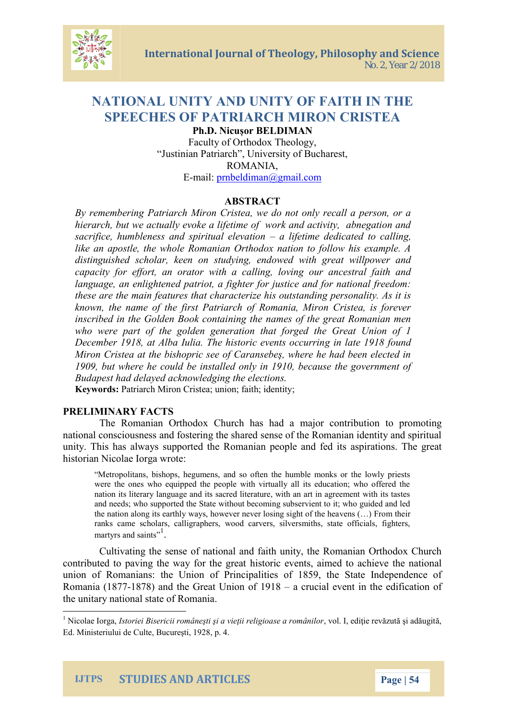# NATIONAL UNITY MAND OF FAITH IN THE SPEECHES OF PAHTRMARROCN CRISTEA Ph.D. NoicuBELDIMAN Faculty of Orthodox Theology, Justinian Patriarch , University of Bucharest, ROMANIA,

 $E-m$  a  $i$   $\phi$ :  $r$   $n$   $\beta$   $e$   $l$   $d$   $i$   $m$   $a$   $n$   $m$   $a$   $n$ 

### ABSTRACT

By remembering Patriarch Miron Cristea, we do not only re hierarch, but we actually evoke a lifetime of work and act sacrifice, humbleness and  $\sup$  ilriftentain  $\mathbf e$  leiventhened to call like an apostle, the whole Romanian Orthodox nation to for distinguished scholar, keen on studying, endowed with g capacity for effort, an orator with a calling, loving our language, an eed n big hit entighter for justice and for nation these are the main features that characterize his outstand known, the name of the first Patriarch of Romania, Miron inscribed in the Goldreim GB obok comteasi of the great Romanian who were part of the golden generation that forged the December 1918, at Alba Iulia. The ghinstlantie the theological rring Miron Cristea at the bishopric see of Caransebe<sub>-</sub>, where h 1909, but where he could be installed only in 1910, becau Budapest had delayed acknowledging the elections. Keywordatriarch Mistera; Cunion; faith; identity

## PRELIMINARY FACTS

The Romanian Orthodox Church has had a major cont national consciousness and fostering the shared sense of the unity. This has always suppiporteed pothee a Romanian dits aspirations historian Nicolae Iorga wrote:

Metropolitans, bishops, hegumens, and so often the humble monks were the ones who equipped the people with virtually all its education; where nat its literary language and its sacred literature, with an art in a and needs; who supported the State without becoming subservient t the nation along its earthly ways, howeveen mse  $(e\cdot \hat{b})$  For sim gthseignht of the ranks came scholars, calligraphers, wood carvers, silversmiths, s martyrs and saints

Cultivating the sense of national and faith unity, the R contributed to paving the historical ethen to predimed to achieve the national state of  $\alpha$ union of Romanians: the Union of Principalities of 1859, Romania -188787 and the Great Uaniomu coital 1918 nt in the edifica the unitary national state of Romania .

 $^1$ Nicolae  $\,$ lost $\,$ gai,ei Bisericii române $\,$ ti  $\,$ i a vi,e $\,$ cii relligeidoiacse nevo $\,$ znu $\,$ ani $\,$ lo $\,$ rad u Ed. Ministeriului de Culte, Bucure\_ti, 1928, p. 4.

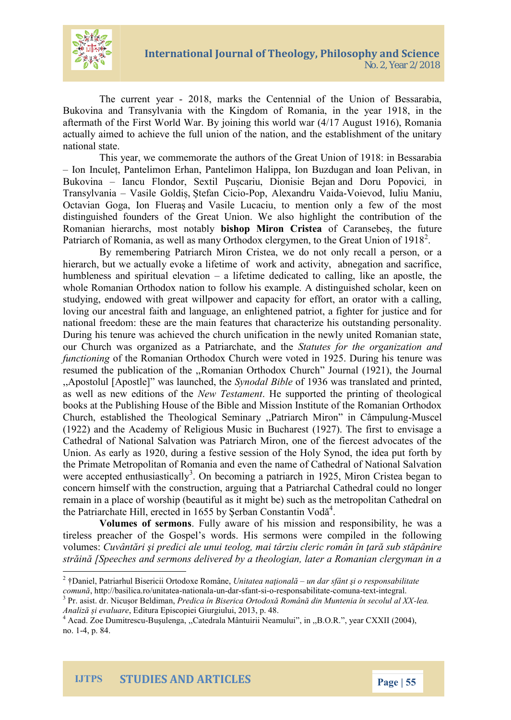The current  $2\hat{y}$  dast, marks the Centennial of the Union Bukovina and Transylvania with the Kingdom of Romania, aftermath of the First World War. By joining this world war (4) actuall ped time achieve the full union of the nation, and the establishment of the unitary national state.

This year, we commemorate the authors of the Great Un lon Inc,uPeantelimon Erhan, Pantelimon aHnadli**bopaanxaPhioenni** Buzdug Bukovinalancu Flondor, Saenxitui, Prixonisaiend BeDjoamu Poipnovici TransylvaVnai**a** ile Gotledfian GRopo, Alexand-MuoiVeaviodda, Iuliu Maniu, Octavian Goga, laomd F Vasilae , Lutoa oriention only a few of the distinguished founders of the Great Union. We also highlight Romanian hierarchs, bmisolstopnoMtianolhy OffisOteaan,setbhoe future Patriarch of Romania, as well as many Orthodox clergymen, t

By meembering Patriarch Miron Cristea, we do not only hierarch, but we actually evoke a lifetime of work and activity humbleness and spiritaal allifetemation and icated to calling, like a whole Romanian Orthodox nation to follow his example. A di studying, endowed with great willpower and capacity for eff loving our ancestral faith and language, anjes niligent a met of opratri national freedom: these are the main features that characte During his tenure was achieved the church unification in the our Church was organized as a SPFatteursia for hatthe equation and the seation functionithe Romanian Orthowdox Contend hin 1925. During his tenure was resumed the public  $\alpha$  bime anot anther the docto Chruan  $\alpha$  in 1921), the Journal change of the  $\alpha$ ,,Apostolul [Apostle] w§\$pnloaduanlcoBfeetbol, @ 316 ewas translated and p as well as new ed NteownsTeositallment upported the printing of the books at the Publishing House of the Bible and Mission Insti Church, established the Triyeo, IPoagniciaal rcShenMiinran -MinusCcâenh pulung (1922) and the Academy of Religious Music in Bucharest (1 Cathedral of National Salvation was Patriarch Miron, one of Union. As early as 1920  $\rho$  dues is ign a desthe Holy Synod, the idea the Primate Metropolitan of Romania and even the name of C were accepted enth**Os**niabseticoanling a patriarch in 1925, Miron concern himseld ow stth utchte on, arguing that a Patriarchal Cathe remain in a place of worship (beautiful as it might be) such a the Patriard hat be ected in 1655 by ^erban Constantin Vod

Volumes of seFmobly saware of his mission and responsi tireless preacher of the Gospel s words. His sermons were volum@svântri \_i predici anhea iunaurizite od begric român în car sub strin Speeches and sermons delivered by a theologian, later

IJTPS STUDIES AND ARTICLES Page 5

 $^2$  Daniel, Patriarhul Biseri $\ddot{\text{a}}$ ori $\dot{\text{a}}$ l, $\text{0}$ irttaotdecaxea a $\text{R}$ uoinmodalr sfânt  $\dot{\phantom{a}}$ i o responsabilitat $\epsilon$ comu, nhttp://basilican.aoi/ounnuamidabal-nefaq-nasio-responsa bciol mioal-meaximetgral.

 $3$ Pr. asist. dorr. BNeicdui Pmaendica în Biserica Ortodox Român din e Mauntenia în s Analiz evalu *E*ndeitura Episcopiei Giurgiului, 2013, p. 48.

 $^4$ Acad. Zoe Du-Bhuitruelseon@canat,edrala MântuiriiinNe,aBm,oOlyumRar CXXII (2004),  $no. -41, p. 84.$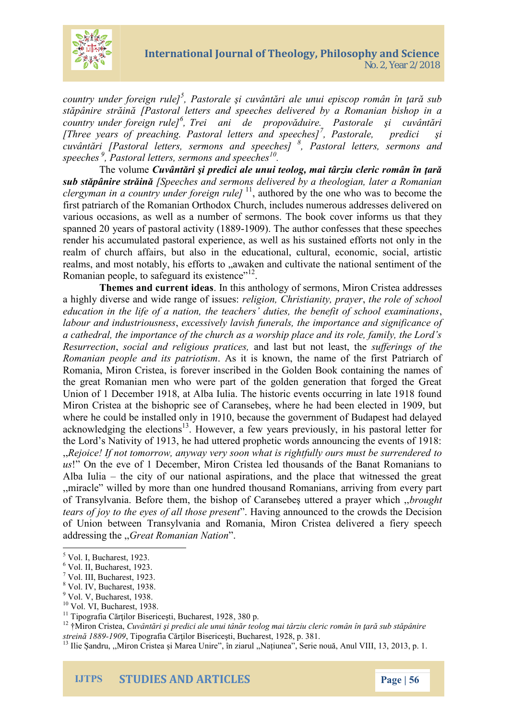

*country under foreign rule]<sup>5</sup> , Pastorale şi cuvântări ale unui episcop român în ţară sub stăpânire străină [Pastoral letters and speeches delivered by a Romanian bishop in a country under foreign rule]<sup>6</sup> , Trei ani de propovăduire. Pastorale şi cuvântări [Three years of preaching. Pastoral letters and speeches]<sup>7</sup> , Pastorale, predici şi cuvântări [Pastoral letters, sermons and speeches] <sup>8</sup> , Pastoral letters, sermons and speeches <sup>9</sup> , Pastoral letters, sermons and speeches<sup>10</sup> .*

The volume *Cuvântări şi predici ale unui teolog, mai târziu cleric român în ţară sub stăpânire străină [Speeches and sermons delivered by a theologian, later a Romanian* clergyman in a country under foreign rule]<sup>11</sup>, authored by the one who was to become the first patriarch of the Romanian Orthodox Church, includes numerous addresses delivered on various occasions, as well as a number of sermons. The book cover informs us that they spanned 20 years of pastoral activity (1889-1909). The author confesses that these speeches render his accumulated pastoral experience, as well as his sustained efforts not only in the realm of church affairs, but also in the educational, cultural, economic, social, artistic realms, and most notably, his efforts to ..awaken and cultivate the national sentiment of the Romanian people, to safeguard its existence"<sup>12</sup>.

**Themes and current ideas**. In this anthology of sermons, Miron Cristea addresses a highly diverse and wide range of issues: *religion, Christianity, prayer*, *the role of school education in the life of a nation, the teachers' duties, the benefit of school examinations*, *labour and industriousness*, *excessively lavish funerals, the importance and significance of a cathedral, the importance of the church as a worship place and its role, family, the Lord's Resurrection*, *social and religious pratices,* and last but not least, the *sufferings of the Romanian people and its patriotism*. As it is known, the name of the first Patriarch of Romania, Miron Cristea, is forever inscribed in the Golden Book containing the names of the great Romanian men who were part of the golden generation that forged the Great Union of 1 December 1918, at Alba Iulia. The historic events occurring in late 1918 found Miron Cristea at the bishopric see of Caransebeş, where he had been elected in 1909, but where he could be installed only in 1910, because the government of Budapest had delayed acknowledging the elections<sup>13</sup>. However, a few years previously, in his pastoral letter for the Lord's Nativity of 1913, he had uttered prophetic words announcing the events of 1918: ,,*Rejoice! If not tomorrow, anyway very soon what is rightfully ours must be surrendered to us*!" On the eve of 1 December, Miron Cristea led thousands of the Banat Romanians to Alba Iulia – the city of our national aspirations, and the place that witnessed the great ,,miracle" willed by more than one hundred thousand Romanians, arriving from every part of Transylvania. Before them, the bishop of Caransebeş uttered a prayer which ,,*brought tears of joy to the eyes of all those present*". Having announced to the crowds the Decision of Union between Transylvania and Romania, Miron Cristea delivered a fiery speech addressing the ,,*Great Romanian Nation*".

 $<sup>5</sup>$  Vol. I, Bucharest, 1923.</sup>

 $6$  Vol. II, Bucharest, 1923.

<sup>7</sup> Vol. III, Bucharest, 1923.

<sup>8</sup> Vol. IV, Bucharest, 1938.

<sup>&</sup>lt;sup>9</sup> Vol. V, Bucharest, 1938.

<sup>&</sup>lt;sup>10</sup> Vol. VI, Bucharest, 1938.

<sup>&</sup>lt;sup>11</sup> Tipografia Cărților Bisericești, Bucharest, 1928, 380 p.

<sup>12</sup> †Miron Cristea, *Cuvântări şi predici ale unui tânăr teolog mai târziu cleric român în ţară sub stăpânire streină 1889-1909*, Tipografia Cărţilor Bisericeşti, Bucharest, 1928, p. 381.

<sup>&</sup>lt;sup>13</sup> Ilie Șandru, "Miron Cristea și Marea Unire", în ziarul "Națiunea", Serie nouă, Anul VIII, 13, 2013, p. 1.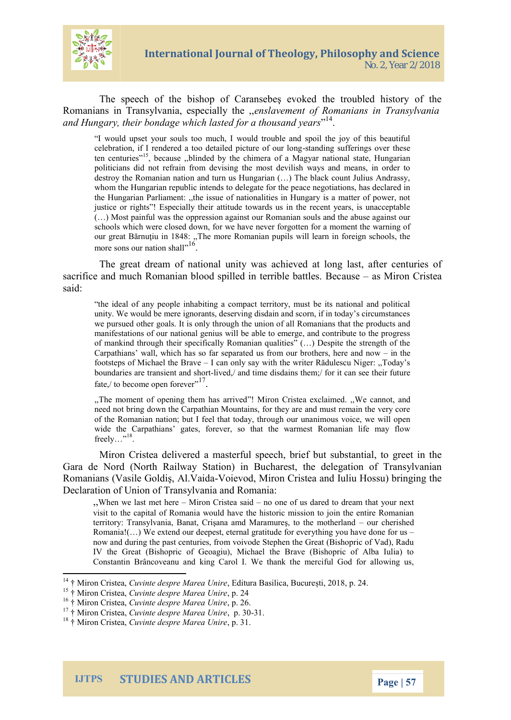

The speech of the bishop of Caransebeş evoked the troubled history of the Romanians in Transylvania, especially the ,,*enslavement of Romanians in Transylvania and Hungary, their bondage which lasted for a thousand years*" 14 .

"I would upset your souls too much, I would trouble and spoil the joy of this beautiful celebration, if I rendered a too detailed picture of our long-standing sufferings over these ten centuries"<sup>15</sup>, because "blinded by the chimera of a Magyar national state, Hungarian enturies" politicians did not refrain from devising the most devilish ways and means, in order to destroy the Romanian nation and turn us Hungarian (…) The black count Julius Andrassy, whom the Hungarian republic intends to delegate for the peace negotiations, has declared in the Hungarian Parliament: ,,the issue of nationalities in Hungary is a matter of power, not justice or rights"! Especially their attitude towards us in the recent years, is unacceptable (…) Most painful was the oppression against our Romanian souls and the abuse against our schools which were closed down, for we have never forgotten for a moment the warning of our great Bărnuţiu in 1848: ,,The more Romanian pupils will learn in foreign schools, the more sons our nation shall".<sup>16</sup>.

The great dream of national unity was achieved at long last, after centuries of sacrifice and much Romanian blood spilled in terrible battles. Because – as Miron Cristea said:

"the ideal of any people inhabiting a compact territory, must be its national and political unity. We would be mere ignorants, deserving disdain and scorn, if in today's circumstances we pursued other goals. It is only through the union of all Romanians that the products and manifestations of our national genius will be able to emerge, and contribute to the progress of mankind through their specifically Romanian qualities" (…) Despite the strength of the Carpathians' wall, which has so far separated us from our brothers, here and now – in the footsteps of Michael the Brave – I can only say with the writer Rădulescu Niger: ,,Today's boundaries are transient and short-lived,/ and time disdains them;/ for it can see their future fate, $\frac{1}{7}$  to become open forever".<sup>17</sup>.

,,The moment of opening them has arrived"! Miron Cristea exclaimed. ,,We cannot, and need not bring down the Carpathian Mountains, for they are and must remain the very core of the Romanian nation; but I feel that today, through our unanimous voice, we will open wide the Carpathians' gates, forever, so that the warmest Romanian life may flow freely..."<sup>18</sup>.

Miron Cristea delivered a masterful speech, brief but substantial, to greet in the Gara de Nord (North Railway Station) in Bucharest, the delegation of Transylvanian Romanians (Vasile Goldiş, Al.Vaida-Voievod, Miron Cristea and Iuliu Hossu) bringing the Declaration of Union of Transylvania and Romania:

,,When we last met here – Miron Cristea said – no one of us dared to dream that your next visit to the capital of Romania would have the historic mission to join the entire Romanian territory: Transylvania, Banat, Crişana amd Maramureş, to the motherland – our cherished Romania! $(...)$  We extend our deepest, eternal gratitude for everything you have done for us – now and during the past centuries, from voivode Stephen the Great (Bishopric of Vad), Radu IV the Great (Bishopric of Geoagiu), Michael the Brave (Bishopric of Alba Iulia) to Constantin Brâncoveanu and king Carol I. We thank the merciful God for allowing us,

<sup>14</sup> † Miron Cristea, *Cuvinte despre Marea Unire*, Editura Basilica, București, 2018, p. 24.

<sup>15</sup> † Miron Cristea, *Cuvinte despre Marea Unire*, p. 24

<sup>16</sup> † Miron Cristea, *Cuvinte despre Marea Unire*, p. 26.

<sup>17</sup> † Miron Cristea, *Cuvinte despre Marea Unire*, p. 30-31.

<sup>18</sup> † Miron Cristea, *Cuvinte despre Marea Unire*, p. 31.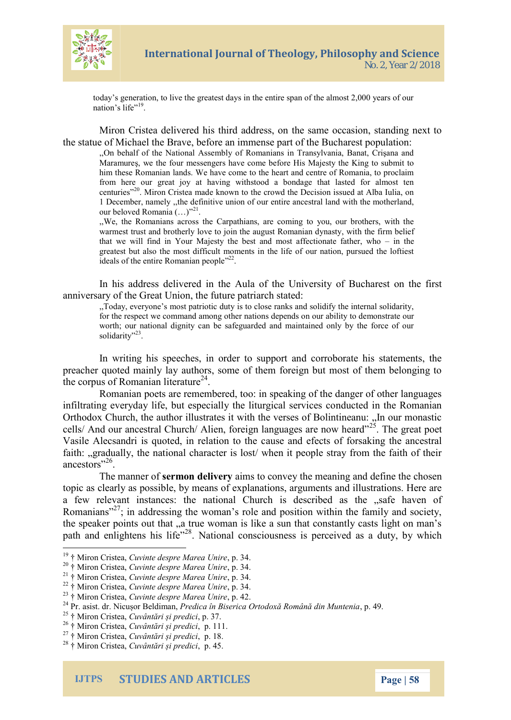

today's generation, to live the greatest days in the entire span of the almost 2,000 years of our nation's life"<sup>19</sup>.

Miron Cristea delivered his third address, on the same occasion, standing next to the statue of Michael the Brave, before an immense part of the Bucharest population:

,,On behalf of the National Assembly of Romanians in Transylvania, Banat, Crişana and Maramureş, we the four messengers have come before His Majesty the King to submit to him these Romanian lands. We have come to the heart and centre of Romania, to proclaim from here our great joy at having withstood a bondage that lasted for almost ten centuries"<sup>20</sup>. Miron Cristea made known to the crowd the Decision issued at Alba Iulia, on 1 December, namely ,,the definitive union of our entire ancestral land with the motherland, our beloved Romania  $(\ldots)^{n^2}$ .

,,We, the Romanians across the Carpathians, are coming to you, our brothers, with the warmest trust and brotherly love to join the august Romanian dynasty, with the firm belief that we will find in Your Majesty the best and most affectionate father, who – in the greatest but also the most difficult moments in the life of our nation, pursued the loftiest ideals of the entire Romanian people"<sup>22</sup>.

In his address delivered in the Aula of the University of Bucharest on the first anniversary of the Great Union, the future patriarch stated:

,,Today, everyone's most patriotic duty is to close ranks and solidify the internal solidarity, for the respect we command among other nations depends on our ability to demonstrate our worth; our national dignity can be safeguarded and maintained only by the force of our solidarity"<sup>23</sup>.

In writing his speeches, in order to support and corroborate his statements, the preacher quoted mainly lay authors, some of them foreign but most of them belonging to the corpus of Romanian literature $^{24}$ .

Romanian poets are remembered, too: in speaking of the danger of other languages infiltrating everyday life, but especially the liturgical services conducted in the Romanian Orthodox Church, the author illustrates it with the verses of Bolintineanu: "In our monastic cells/ And our ancestral Church/ Alien, foreign languages are now heard $125$ . The great poet Vasile Alecsandri is quoted, in relation to the cause and efects of forsaking the ancestral faith: "gradually, the national character is lost' when it people stray from the faith of their ancestors"<sup>26</sup>.

The manner of **sermon delivery** aims to convey the meaning and define the chosen topic as clearly as possible, by means of explanations, arguments and illustrations. Here are a few relevant instances: the national Church is described as the "safe haven of Romanians"<sup>27</sup>; in addressing the woman's role and position within the family and society, the speaker points out that "a true woman is like a sun that constantly casts light on man's path and enlightens his life"<sup>28</sup>. National consciousness is perceived as a duty, by which

<sup>19</sup> † Miron Cristea, *Cuvinte despre Marea Unire*, p. 34.

<sup>20</sup> † Miron Cristea, *Cuvinte despre Marea Unire*, p. 34.

<sup>21</sup> † Miron Cristea, *Cuvinte despre Marea Unire*, p. 34.

<sup>22</sup> † Miron Cristea, *Cuvinte despre Marea Unire*, p. 34.

<sup>23</sup> † Miron Cristea, *Cuvinte despre Marea Unire*, p. 42.

<sup>24</sup> Pr. asist. dr. Nicușor Beldiman, *Predica în Biserica Ortodoxă Română din Muntenia*, p. 49.

<sup>25</sup> † Miron Cristea, *Cuvântări și predici*, p. 37.

<sup>26</sup> † Miron Cristea, *Cuvântări și predici*, p. 111.

<sup>27</sup> † Miron Cristea, *Cuvântări și predici*, p. 18.

<sup>28</sup> † Miron Cristea, *Cuvântări și predici*, p. 45.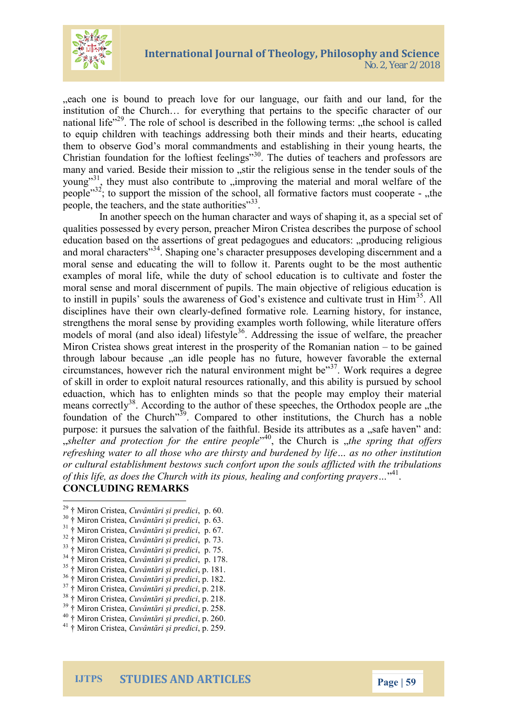

each one is bound to preach love for our language, our faith and our land, for the institution of the Church… for everything that pertains to the specific character of our national life<sup> $29$ </sup>. The role of school is described in the following terms: the school is called to equip children with teachings addressing both their minds and their hearts, educating them to observe God's moral commandments and establishing in their young hearts, the Christian foundation for the loftiest feelings"<sup>30</sup>. The duties of teachers and professors are many and varied. Beside their mission to stir the religious sense in the tender souls of the young"<sup>31</sup>, they must also contribute to "improving the material and moral welfare of the people"<sup>32</sup>; to support the mission of the school, all formative factors must cooperate - "the people, the teachers, and the state authorities"<sup>33</sup>.

In another speech on the human character and ways of shaping it, as a special set of qualities possessed by every person, preacher Miron Cristea describes the purpose of school education based on the assertions of great pedagogues and educators: "producing religious and moral characters"<sup>34</sup>. Shaping one's character presupposes developing discernment and a moral sense and educating the will to follow it. Parents ought to be the most authentic examples of moral life, while the duty of school education is to cultivate and foster the moral sense and moral discernment of pupils. The main objective of religious education is to instill in pupils' souls the awareness of God's existence and cultivate trust in  $\text{Him}^{35}$ . All disciplines have their own clearly-defined formative role. Learning history, for instance, strengthens the moral sense by providing examples worth following, while literature offers models of moral (and also ideal) lifestyle<sup>36</sup>. Addressing the issue of welfare, the preacher Miron Cristea shows great interest in the prosperity of the Romanian nation – to be gained through labour because an idle people has no future, however favorable the external circumstances, however rich the natural environment might be $^{37}$ . Work requires a degree of skill in order to exploit natural resources rationally, and this ability is pursued by school eduaction, which has to enlighten minds so that the people may employ their material means correctly<sup>38</sup>. According to the author of these speeches, the Orthodox people are "the foundation of the Church"<sup>39</sup>. Compared to other institutions, the Church has a noble purpose: it pursues the salvation of the faithful. Beside its attributes as a "safe haven" and: "*shelter and protection for the entire people*" <sup>40</sup>, the Church is "*the spring that offers refreshing water to all those who are thirsty and burdened by life… as no other institution or cultural establishment bestows such confort upon the souls afflicted with the tribulations* of this life, as does the Church with its pious, healing and conforting prayers..."<sup>41</sup>.

#### **CONCLUDING REMARKS**

- <sup>29</sup> † Miron Cristea, *Cuvântări și predici*, p. 60.
- <sup>30</sup> † Miron Cristea, *Cuvântări și predici*, p. 63.
- <sup>31</sup> † Miron Cristea, *Cuvântări și predici*, p. 67.
- <sup>32</sup> † Miron Cristea, *Cuvântări și predici*, p. 73.
- <sup>33</sup> † Miron Cristea, *Cuvântări și predici*, p. 75.
- <sup>34</sup> † Miron Cristea, *Cuvântări și predici*, p. 178.
- <sup>35</sup> † Miron Cristea, *Cuvântări și predici*, p. 181.
- <sup>36</sup> † Miron Cristea, *Cuvântări și predici*, p. 182.
- <sup>37</sup> † Miron Cristea, *Cuvântări și predici*, p. 218.
- <sup>38</sup> † Miron Cristea, *Cuvântări și predici*, p. 218.
- <sup>39</sup> † Miron Cristea, *Cuvântări și predici*, p. 258.
- <sup>40</sup> † Miron Cristea, *Cuvântări și predici*, p. 260.
- <sup>41</sup> † Miron Cristea, *Cuvântări și predici*, p. 259.